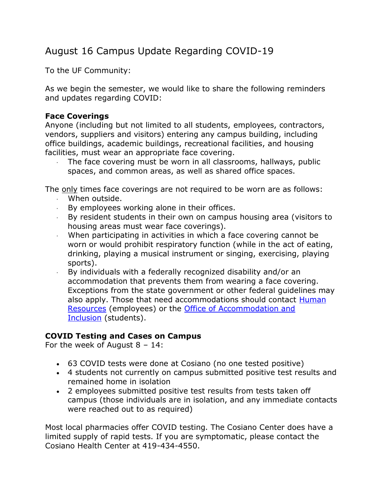# August 16 Campus Update Regarding COVID-19

To the UF Community:

As we begin the semester, we would like to share the following reminders and updates regarding COVID:

## **Face Coverings**

Anyone (including but not limited to all students, employees, contractors, vendors, suppliers and visitors) entering any campus building, including office buildings, academic buildings, recreational facilities, and housing facilities, must wear an appropriate face covering.

The face covering must be worn in all classrooms, hallways, public spaces, and common areas, as well as shared office spaces.

The only times face coverings are not required to be worn are as follows:

- · When outside.
- · By employees working alone in their offices.
- · By resident students in their own on campus housing area (visitors to housing areas must wear face coverings).
- · When participating in activities in which a face covering cannot be worn or would prohibit respiratory function (while in the act of eating, drinking, playing a musical instrument or singing, exercising, playing sports).
- · By individuals with a federally recognized disability and/or an accommodation that prevents them from wearing a face covering. Exceptions from the state government or other federal guidelines may also apply. Those that need accommodations should contact Human [Resources](https://www.findlay.edu/offices/business-affairs/human-resources) (employees) or the **Office of Accommodation and** [Inclusion](https://www.findlay.edu/offices/student-affairs/accommodation-and-inclusion) (students).

## **COVID Testing and Cases on Campus**

For the week of August 8 – 14:

- 63 COVID tests were done at Cosiano (no one tested positive)
- 4 students not currently on campus submitted positive test results and remained home in isolation
- 2 employees submitted positive test results from tests taken off campus (those individuals are in isolation, and any immediate contacts were reached out to as required)

Most local pharmacies offer COVID testing. The Cosiano Center does have a limited supply of rapid tests. If you are symptomatic, please contact the Cosiano Health Center at 419-434-4550.